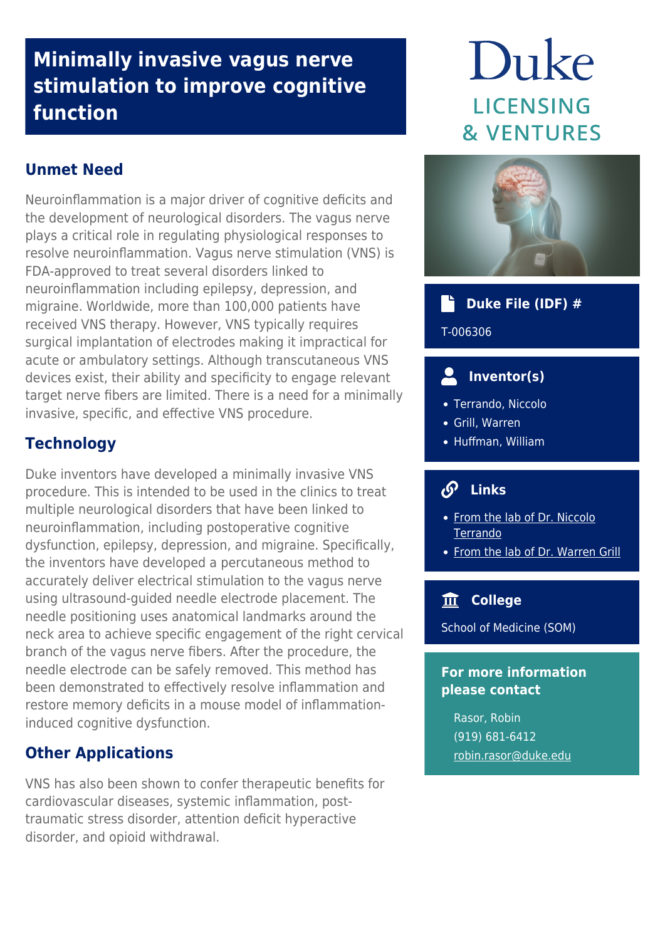# **Minimally invasive vagus nerve stimulation to improve cognitive function**

# **Unmet Need**

Neuroinflammation is a major driver of cognitive deficits and the development of neurological disorders. The vagus nerve plays a critical role in regulating physiological responses to resolve neuroinflammation. Vagus nerve stimulation (VNS) is FDA-approved to treat several disorders linked to neuroinflammation including epilepsy, depression, and migraine. Worldwide, more than 100,000 patients have received VNS therapy. However, VNS typically requires surgical implantation of electrodes making it impractical for acute or ambulatory settings. Although transcutaneous VNS devices exist, their ability and specificity to engage relevant target nerve fibers are limited. There is a need for a minimally invasive, specific, and effective VNS procedure.

#### **Technology**

Duke inventors have developed a minimally invasive VNS procedure. This is intended to be used in the clinics to treat multiple neurological disorders that have been linked to neuroinflammation, including postoperative cognitive dysfunction, epilepsy, depression, and migraine. Specifically, the inventors have developed a percutaneous method to accurately deliver electrical stimulation to the vagus nerve using ultrasound-guided needle electrode placement. The needle positioning uses anatomical landmarks around the neck area to achieve specific engagement of the right cervical branch of the vagus nerve fibers. After the procedure, the needle electrode can be safely removed. This method has been demonstrated to effectively resolve inflammation and restore memory deficits in a mouse model of inflammationinduced cognitive dysfunction.

#### **Other Applications**

VNS has also been shown to confer therapeutic benefits for cardiovascular diseases, systemic inflammation, posttraumatic stress disorder, attention deficit hyperactive disorder, and opioid withdrawal.

# Duke **LICENSING & VENTURES**



#### **Duke File (IDF) #** a de la partida de la partida de la partida de la partida de la partida de la partida de la partida de la partida de la partida de la partida de la partida de la partida de la partida de la partida de la partida de la part

T-006306

# **Inventor(s)**

- Terrando, Niccolo
- Grill, Warren
- Huffman, William

# **Links**

- [From the lab of Dr. Niccolo](https://anesthesiology.duke.edu/?page_id=838077) [Terrando](https://anesthesiology.duke.edu/?page_id=838077)
- [From the lab of Dr. Warren Grill](http://grill-lab.pratt.duke.edu/)

# **College**

School of Medicine (SOM)

#### **For more information please contact**

Rasor, Robin (919) 681-6412 [robin.rasor@duke.edu](mailto:robin.rasor@duke.edu)